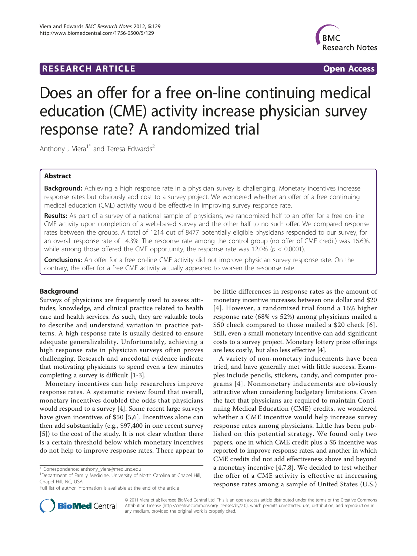## **RESEARCH ARTICLE Example 2018 CONSIDERING ACCESS**



# Does an offer for a free on-line continuing medical education (CME) activity increase physician survey response rate? A randomized trial

Anthony J Viera<sup>1\*</sup> and Teresa Edwards<sup>2</sup>

## Abstract

Background: Achieving a high response rate in a physician survey is challenging. Monetary incentives increase response rates but obviously add cost to a survey project. We wondered whether an offer of a free continuing medical education (CME) activity would be effective in improving survey response rate.

Results: As part of a survey of a national sample of physicians, we randomized half to an offer for a free on-line CME activity upon completion of a web-based survey and the other half to no such offer. We compared response rates between the groups. A total of 1214 out of 8477 potentially eligible physicians responded to our survey, for an overall response rate of 14.3%. The response rate among the control group (no offer of CME credit) was 16.6%, while among those offered the CME opportunity, the response rate was 12.0% ( $p < 0.0001$ ).

Conclusions: An offer for a free on-line CME activity did not improve physician survey response rate. On the contrary, the offer for a free CME activity actually appeared to worsen the response rate.

## Background

Surveys of physicians are frequently used to assess attitudes, knowledge, and clinical practice related to health care and health services. As such, they are valuable tools to describe and understand variation in practice patterns. A high response rate is usually desired to ensure adequate generalizability. Unfortunately, achieving a high response rate in physician surveys often proves challenging. Research and anecdotal evidence indicate that motivating physicians to spend even a few minutes completing a survey is difficult [\[1](#page-3-0)-[3\]](#page-3-0).

Monetary incentives can help researchers improve response rates. A systematic review found that overall, monetary incentives doubled the odds that physicians would respond to a survey [[4\]](#page-3-0). Some recent large surveys have given incentives of \$50 [[5,6](#page-3-0)]. Incentives alone can then add substantially (e.g., \$97,400 in one recent survey [[5\]](#page-3-0)) to the cost of the study. It is not clear whether there is a certain threshold below which monetary incentives do not help to improve response rates. There appear to

be little differences in response rates as the amount of monetary incentive increases between one dollar and \$20 [[4\]](#page-3-0). However, a randomized trial found a 16% higher response rate (68% vs 52%) among physicians mailed a \$50 check compared to those mailed a \$20 check [[6\]](#page-3-0). Still, even a small monetary incentive can add significant costs to a survey project. Monetary lottery prize offerings are less costly, but also less effective [\[4](#page-3-0)].

A variety of non-monetary inducements have been tried, and have generally met with little success. Examples include pencils, stickers, candy, and computer programs [[4](#page-3-0)]. Nonmonetary inducements are obviously attractive when considering budgetary limitations. Given the fact that physicians are required to maintain Continuing Medical Education (CME) credits, we wondered whether a CME incentive would help increase survey response rates among physicians. Little has been published on this potential strategy. We found only two papers, one in which CME credit plus a \$5 incentive was reported to improve response rates, and another in which CME credits did not add effectiveness above and beyond a monetary incentive [\[4,7](#page-3-0),[8](#page-3-0)]. We decided to test whether the offer of a CME activity is effective at increasing response rates among a sample of United States (U.S.)



© 2011 Viera et al; licensee BioMed Central Ltd. This is an open access article distributed under the terms of the Creative Commons Attribution License [\(http://creativecommons.org/licenses/by/2.0](http://creativecommons.org/licenses/by/2.0)), which permits unrestricted use, distribution, and reproduction in any medium, provided the original work is properly cited.

<sup>\*</sup> Correspondence: [anthony\\_viera@med.unc.edu](mailto:anthony_viera@med.unc.edu)

<sup>&</sup>lt;sup>1</sup>Department of Family Medicine, University of North Carolina at Chapel Hill, Chapel Hill, NC, USA

Full list of author information is available at the end of the article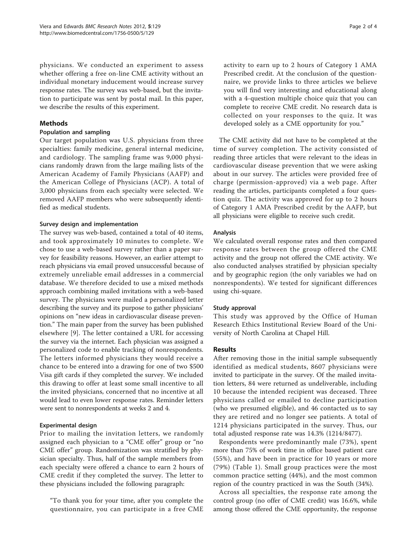physicians. We conducted an experiment to assess whether offering a free on-line CME activity without an individual monetary inducement would increase survey response rates. The survey was web-based, but the invitation to participate was sent by postal mail. In this paper, we describe the results of this experiment.

## **Methods**

## Population and sampling

Our target population was U.S. physicians from three specialties: family medicine, general internal medicine, and cardiology. The sampling frame was 9,000 physicians randomly drawn from the large mailing lists of the American Academy of Family Physicians (AAFP) and the American College of Physicians (ACP). A total of 3,000 physicians from each specialty were selected. We removed AAFP members who were subsequently identified as medical students.

## Survey design and implementation

The survey was web-based, contained a total of 40 items, and took approximately 10 minutes to complete. We chose to use a web-based survey rather than a paper survey for feasibility reasons. However, an earlier attempt to reach physicians via email proved unsuccessful because of extremely unreliable email addresses in a commercial database. We therefore decided to use a mixed methods approach combining mailed invitations with a web-based survey. The physicians were mailed a personalized letter describing the survey and its purpose to gather physicians' opinions on "new ideas in cardiovascular disease prevention." The main paper from the survey has been published elsewhere [[9](#page-3-0)]. The letter contained a URL for accessing the survey via the internet. Each physician was assigned a personalized code to enable tracking of nonrespondents. The letters informed physicians they would receive a chance to be entered into a drawing for one of two \$500 Visa gift cards if they completed the survey. We included this drawing to offer at least some small incentive to all the invited physicians, concerned that no incentive at all would lead to even lower response rates. Reminder letters were sent to nonrespondents at weeks 2 and 4.

## Experimental design

Prior to mailing the invitation letters, we randomly assigned each physician to a "CME offer" group or "no CME offer" group. Randomization was stratified by physician specialty. Thus, half of the sample members from each specialty were offered a chance to earn 2 hours of CME credit if they completed the survey. The letter to these physicians included the following paragraph:

"To thank you for your time, after you complete the questionnaire, you can participate in a free CME activity to earn up to 2 hours of Category 1 AMA Prescribed credit. At the conclusion of the questionnaire, we provide links to three articles we believe you will find very interesting and educational along with a 4-question multiple choice quiz that you can complete to receive CME credit. No research data is collected on your responses to the quiz. It was developed solely as a CME opportunity for you."

The CME activity did not have to be completed at the time of survey completion. The activity consisted of reading three articles that were relevant to the ideas in cardiovascular disease prevention that we were asking about in our survey. The articles were provided free of charge (permission-approved) via a web page. After reading the articles, participants completed a four question quiz. The activity was approved for up to 2 hours of Category 1 AMA Prescribed credit by the AAFP, but all physicians were eligible to receive such credit.

## Analysis

We calculated overall response rates and then compared response rates between the group offered the CME activity and the group not offered the CME activity. We also conducted analyses stratified by physician specialty and by geographic region (the only variables we had on nonrespondents). We tested for significant differences using chi-square.

## Study approval

This study was approved by the Office of Human Research Ethics Institutional Review Board of the University of North Carolina at Chapel Hill.

## Results

After removing those in the initial sample subsequently identified as medical students, 8607 physicians were invited to participate in the survey. Of the mailed invitation letters, 84 were returned as undeliverable, including 10 because the intended recipient was deceased. Three physicians called or emailed to decline participation (who we presumed eligible), and 46 contacted us to say they are retired and no longer see patients. A total of 1214 physicians participated in the survey. Thus, our total adjusted response rate was 14.3% (1214/8477).

Respondents were predominantly male (73%), spent more than 75% of work time in office based patient care (55%), and have been in practice for 10 years or more (79%) (Table [1\)](#page-2-0). Small group practices were the most common practice setting (44%), and the most common region of the country practiced in was the South (34%).

Across all specialties, the response rate among the control group (no offer of CME credit) was 16.6%, while among those offered the CME opportunity, the response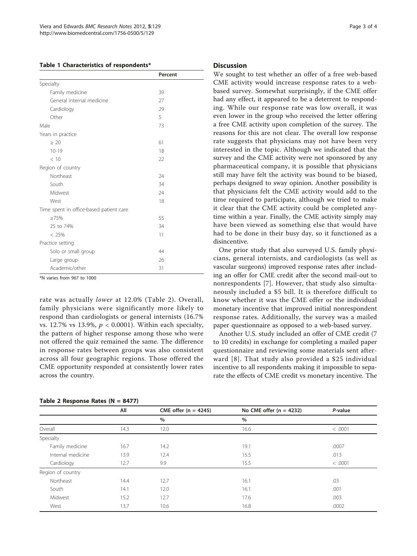#### <span id="page-2-0"></span>Table 1 Characteristics of respondents\*

|                                         | Percent |  |
|-----------------------------------------|---------|--|
| Specialty                               |         |  |
| Family medicine                         | 39      |  |
| General internal medicine               | 27      |  |
| Cardiology                              | 29      |  |
| Other                                   | 5       |  |
| Male                                    | 73      |  |
| Years in practice                       |         |  |
| $\geq 20$                               | 61      |  |
| $10 - 19$                               | 18      |  |
| < 10                                    | 22      |  |
| Region of country                       |         |  |
| Northeast                               | 24      |  |
| South                                   | 34      |  |
| Midwest                                 | 24      |  |
| West                                    | 18      |  |
| Time spent in office-based patient care |         |  |
| $\geq 75\%$                             | 55      |  |
| 25 to 74%                               | 34      |  |
| $< 25\%$                                | 11      |  |
| Practice setting                        |         |  |
| Solo or small group                     | 44      |  |
| Large group                             | 26      |  |
| Academic/other                          | 31      |  |

\*N varies from 967 to 1000

rate was actually lower at 12.0% (Table 2). Overall, family physicians were significantly more likely to respond than cardiologists or general internists (16.7% vs. 12.7% vs 13.9%,  $p < 0.0001$ ). Within each specialty, the pattern of higher response among those who were not offered the quiz remained the same. The difference in response rates between groups was also consistent across all four geographic regions. Those offered the CME opportunity responded at consistently lower rates across the country.

|  |  | Table 2 Response Rates (N = 8477) |  |  |  |
|--|--|-----------------------------------|--|--|--|
|--|--|-----------------------------------|--|--|--|

#### **Discussion**

We sought to test whether an offer of a free web-based CME activity would increase response rates to a webbased survey. Somewhat surprisingly, if the CME offer had any effect, it appeared to be a deterrent to responding. While our response rate was low overall, it was even lower in the group who received the letter offering a free CME activity upon completion of the survey. The reasons for this are not clear. The overall low response rate suggests that physicians may not have been very interested in the topic. Although we indicated that the survey and the CME activity were not sponsored by any pharmaceutical company, it is possible that physicians still may have felt the activity was bound to be biased, perhaps designed to sway opinion. Another possibility is that physicians felt the CME activity would add to the time required to participate, although we tried to make it clear that the CME activity could be completed anytime within a year. Finally, the CME activity simply may have been viewed as something else that would have had to be done in their busy day, so it functioned as a disincentive.

One prior study that also surveyed U.S. family physicians, general internists, and cardiologists (as well as vascular surgeons) improved response rates after including an offer for CME credit after the second mail-out to nonrespondents [[7\]](#page-3-0). However, that study also simultaneously included a \$5 bill. It is therefore difficult to know whether it was the CME offer or the individual monetary incentive that improved initial nonrespondent response rates. Additionally, the survey was a mailed paper questionnaire as opposed to a web-based survey.

Another U.S. study included an offer of CME credit (7 to 10 credits) in exchange for completing a mailed paper questionnaire and reviewing some materials sent afterward [[8](#page-3-0)]. That study also provided a \$25 individual incentive to all respondents making it impossible to separate the effects of CME credit vs monetary incentive. The

|                   | All  | CME offer $(n = 4245)$ | No CME offer $(n = 4232)$ | P-value |
|-------------------|------|------------------------|---------------------------|---------|
|                   |      | $\frac{0}{0}$          | $\%$                      |         |
| Overall           | 14.3 | 12.0                   | 16.6                      | < .0001 |
| Specialty         |      |                        |                           |         |
| Family medicine   | 16.7 | 14.2                   | 19.1                      | .0007   |
| Internal medicine | 13.9 | 12.4                   | 15.5                      | .013    |
| Cardiology        | 12.7 | 9.9                    | 15.5                      | < .0001 |
| Region of country |      |                        |                           |         |
| Northeast         | 14.4 | 12.7                   | 16.1                      | .03     |
| South             | 14.1 | 12.0                   | 16.1                      | .001    |
| Midwest           | 15.2 | 12.7                   | 17.6                      | .003    |
| West              | 13.7 | 10.6                   | 16.8                      | .0002   |